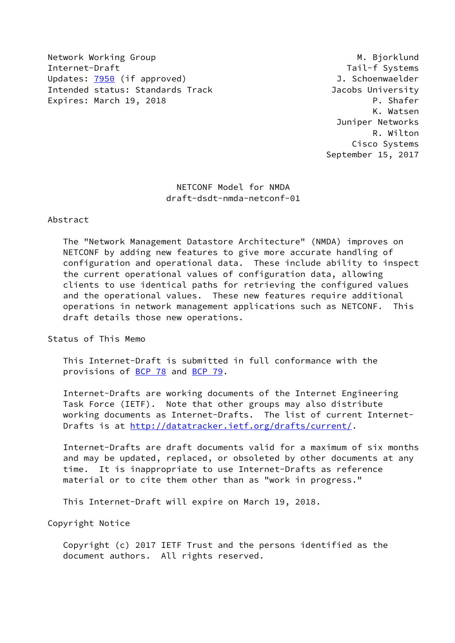Network Working Group Manuscription of the Manuscription of M. Bjorklund Internet-Draft Tail-f Systems Updates: [7950](https://datatracker.ietf.org/doc/pdf/rfc7950) (if approved) and the settlement of the Updates: 7950 (if approved) Intended status: Standards Track Jacobs University Expires: March 19, 2018 **P. Shafer** 

 K. Watsen Juniper Networks R. Wilton Cisco Systems September 15, 2017

> NETCONF Model for NMDA draft-dsdt-nmda-netconf-01

#### Abstract

 The "Network Management Datastore Architecture" (NMDA) improves on NETCONF by adding new features to give more accurate handling of configuration and operational data. These include ability to inspect the current operational values of configuration data, allowing clients to use identical paths for retrieving the configured values and the operational values. These new features require additional operations in network management applications such as NETCONF. This draft details those new operations.

Status of This Memo

 This Internet-Draft is submitted in full conformance with the provisions of [BCP 78](https://datatracker.ietf.org/doc/pdf/bcp78) and [BCP 79](https://datatracker.ietf.org/doc/pdf/bcp79).

 Internet-Drafts are working documents of the Internet Engineering Task Force (IETF). Note that other groups may also distribute working documents as Internet-Drafts. The list of current Internet- Drafts is at<http://datatracker.ietf.org/drafts/current/>.

 Internet-Drafts are draft documents valid for a maximum of six months and may be updated, replaced, or obsoleted by other documents at any time. It is inappropriate to use Internet-Drafts as reference material or to cite them other than as "work in progress."

This Internet-Draft will expire on March 19, 2018.

Copyright Notice

 Copyright (c) 2017 IETF Trust and the persons identified as the document authors. All rights reserved.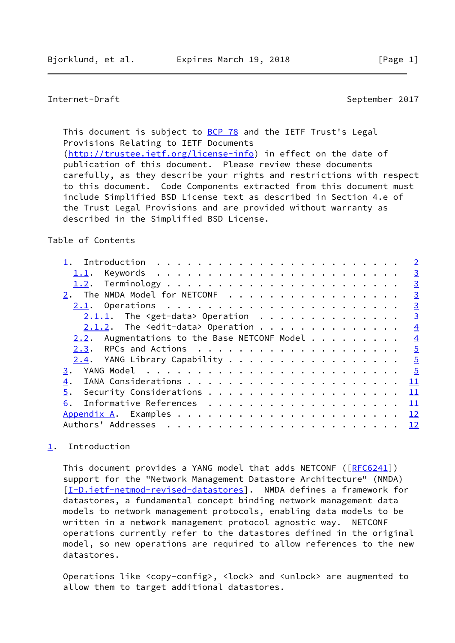# <span id="page-1-1"></span>Internet-Draft September 2017

This document is subject to [BCP 78](https://datatracker.ietf.org/doc/pdf/bcp78) and the IETF Trust's Legal Provisions Relating to IETF Documents [\(http://trustee.ietf.org/license-info](http://trustee.ietf.org/license-info)) in effect on the date of publication of this document. Please review these documents carefully, as they describe your rights and restrictions with respect to this document. Code Components extracted from this document must include Simplified BSD License text as described in Section 4.e of the Trust Legal Provisions and are provided without warranty as described in the Simplified BSD License.

#### Table of Contents

|                                                 | $\overline{2}$  |
|-------------------------------------------------|-----------------|
| 1.1.                                            | $\overline{3}$  |
|                                                 | $\overline{3}$  |
| The NMDA Model for NETCONF                      | $\overline{3}$  |
|                                                 | $\overline{3}$  |
| $2.1.1.$ The <get-data> Operation</get-data>    | $\overline{3}$  |
| $2.1.2$ . The <edit-data> Operation</edit-data> | $\overline{4}$  |
| 2.2. Augmentations to the Base NETCONF Model    | $\overline{4}$  |
|                                                 |                 |
| $2.4$ . YANG Library Capability 5               |                 |
| 3.                                              |                 |
| 4.                                              |                 |
| 5.                                              | $\overline{11}$ |
| 6.                                              | 11              |
|                                                 |                 |
|                                                 |                 |
|                                                 |                 |

# <span id="page-1-0"></span>[1](#page-1-0). Introduction

This document provides a YANG model that adds NETCONF ([\[RFC6241](https://datatracker.ietf.org/doc/pdf/rfc6241)]) support for the "Network Management Datastore Architecture" (NMDA) [\[I-D.ietf-netmod-revised-datastores\]](#page-12-3). NMDA defines a framework for datastores, a fundamental concept binding network management data models to network management protocols, enabling data models to be written in a network management protocol agnostic way. NETCONF operations currently refer to the datastores defined in the original model, so new operations are required to allow references to the new datastores.

 Operations like <copy-config>, <lock> and <unlock> are augmented to allow them to target additional datastores.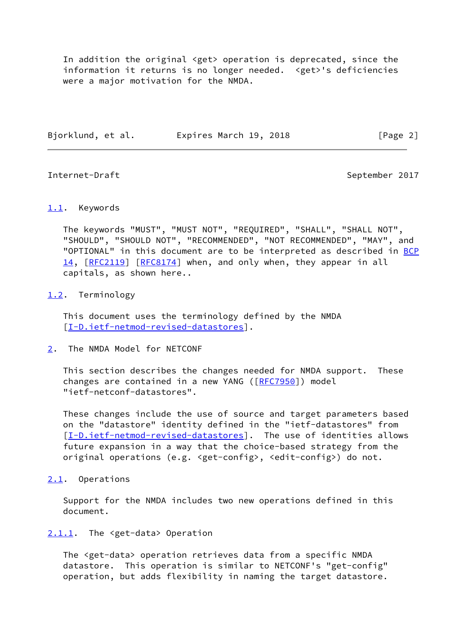In addition the original <get> operation is deprecated, since the information it returns is no longer needed. <get>'s deficiencies were a major motivation for the NMDA.

<span id="page-2-1"></span>Internet-Draft September 2017

Bjorklund, et al. Expires March 19, 2018 [Page 2]

# <span id="page-2-0"></span>[1.1](#page-2-0). Keywords

 The keywords "MUST", "MUST NOT", "REQUIRED", "SHALL", "SHALL NOT", "SHOULD", "SHOULD NOT", "RECOMMENDED", "NOT RECOMMENDED", "MAY", and "OPTIONAL" in this document are to be interpreted as described in [BCP](https://datatracker.ietf.org/doc/pdf/bcp14) [14](https://datatracker.ietf.org/doc/pdf/bcp14), [\[RFC2119](https://datatracker.ietf.org/doc/pdf/rfc2119)] [[RFC8174](https://datatracker.ietf.org/doc/pdf/rfc8174)] when, and only when, they appear in all capitals, as shown here..

#### <span id="page-2-2"></span>[1.2](#page-2-2). Terminology

 This document uses the terminology defined by the NMDA [\[I-D.ietf-netmod-revised-datastores\]](#page-12-3).

<span id="page-2-3"></span>[2](#page-2-3). The NMDA Model for NETCONF

 This section describes the changes needed for NMDA support. These changes are contained in a new YANG ([\[RFC7950](https://datatracker.ietf.org/doc/pdf/rfc7950)]) model "ietf-netconf-datastores".

 These changes include the use of source and target parameters based on the "datastore" identity defined in the "ietf-datastores" from [\[I-D.ietf-netmod-revised-datastores\]](#page-12-3). The use of identities allows future expansion in a way that the choice-based strategy from the original operations (e.g. <get-config>, <edit-config>) do not.

<span id="page-2-4"></span>[2.1](#page-2-4). Operations

 Support for the NMDA includes two new operations defined in this document.

#### <span id="page-2-5"></span>[2.1.1](#page-2-5). The <get-data> Operation

 The <get-data> operation retrieves data from a specific NMDA datastore. This operation is similar to NETCONF's "get-config" operation, but adds flexibility in naming the target datastore.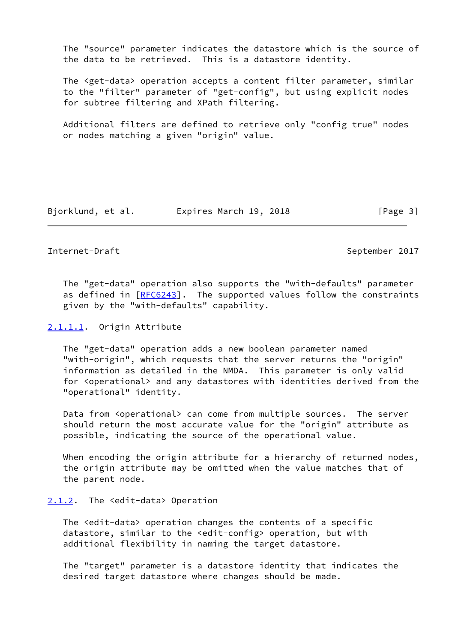The "source" parameter indicates the datastore which is the source of the data to be retrieved. This is a datastore identity.

 The <get-data> operation accepts a content filter parameter, similar to the "filter" parameter of "get-config", but using explicit nodes for subtree filtering and XPath filtering.

 Additional filters are defined to retrieve only "config true" nodes or nodes matching a given "origin" value.

Bjorklund, et al. Expires March 19, 2018 [Page 3]

#### <span id="page-3-1"></span>Internet-Draft September 2017

 The "get-data" operation also supports the "with-defaults" parameter as defined in [[RFC6243](https://datatracker.ietf.org/doc/pdf/rfc6243)]. The supported values follow the constraints given by the "with-defaults" capability.

#### <span id="page-3-2"></span>[2.1.1.1](#page-3-2). Origin Attribute

 The "get-data" operation adds a new boolean parameter named "with-origin", which requests that the server returns the "origin" information as detailed in the NMDA. This parameter is only valid for <operational> and any datastores with identities derived from the "operational" identity.

Data from <operational> can come from multiple sources. The server should return the most accurate value for the "origin" attribute as possible, indicating the source of the operational value.

When encoding the origin attribute for a hierarchy of returned nodes, the origin attribute may be omitted when the value matches that of the parent node.

### <span id="page-3-0"></span>[2.1.2](#page-3-0). The <edit-data> Operation

 The <edit-data> operation changes the contents of a specific datastore, similar to the <edit-config> operation, but with additional flexibility in naming the target datastore.

 The "target" parameter is a datastore identity that indicates the desired target datastore where changes should be made.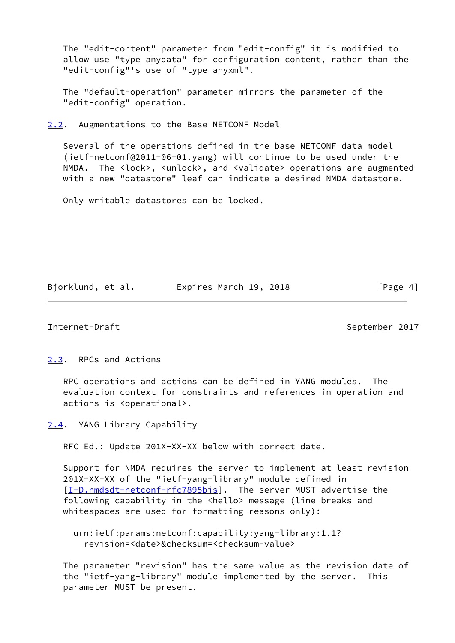The "edit-content" parameter from "edit-config" it is modified to allow use "type anydata" for configuration content, rather than the "edit-config"'s use of "type anyxml".

 The "default-operation" parameter mirrors the parameter of the "edit-config" operation.

<span id="page-4-0"></span>[2.2](#page-4-0). Augmentations to the Base NETCONF Model

 Several of the operations defined in the base NETCONF data model (ietf-netconf@2011-06-01.yang) will continue to be used under the NMDA. The <lock>, <unlock>, and <validate> operations are augmented with a new "datastore" leaf can indicate a desired NMDA datastore.

Only writable datastores can be locked.

Bjorklund, et al. Expires March 19, 2018 [Page 4]

#### <span id="page-4-2"></span>Internet-Draft September 2017

<span id="page-4-1"></span>[2.3](#page-4-1). RPCs and Actions

 RPC operations and actions can be defined in YANG modules. The evaluation context for constraints and references in operation and actions is <operational>.

<span id="page-4-3"></span>[2.4](#page-4-3). YANG Library Capability

RFC Ed.: Update 201X-XX-XX below with correct date.

 Support for NMDA requires the server to implement at least revision 201X-XX-XX of the "ietf-yang-library" module defined in [\[I-D.nmdsdt-netconf-rfc7895bis](#page-12-4)]. The server MUST advertise the following capability in the <hello> message (line breaks and whitespaces are used for formatting reasons only):

 urn:ietf:params:netconf:capability:yang-library:1.1? revision=<date>&checksum=<checksum-value>

 The parameter "revision" has the same value as the revision date of the "ietf-yang-library" module implemented by the server. This parameter MUST be present.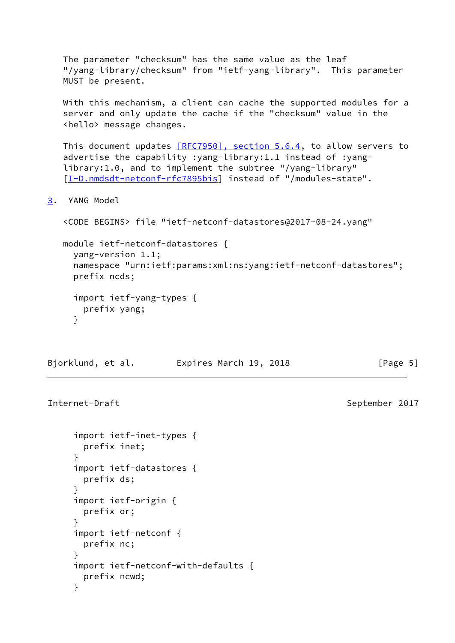The parameter "checksum" has the same value as the leaf "/yang-library/checksum" from "ietf-yang-library". This parameter MUST be present.

 With this mechanism, a client can cache the supported modules for a server and only update the cache if the "checksum" value in the <hello> message changes.

This document updates [\[RFC7950\], section](https://datatracker.ietf.org/doc/pdf/rfc7950#section-5.6.4) 5.6.4, to allow servers to advertise the capability :yang-library:1.1 instead of :yang library:1.0, and to implement the subtree "/yang-library" [\[I-D.nmdsdt-netconf-rfc7895bis](#page-12-4)] instead of "/modules-state".

<span id="page-5-0"></span>[3](#page-5-0). YANG Model

```
 <CODE BEGINS> file "ietf-netconf-datastores@2017-08-24.yang"
```
 module ietf-netconf-datastores { yang-version 1.1; namespace "urn:ietf:params:xml:ns:yang:ietf-netconf-datastores"; prefix ncds;

```
 import ietf-yang-types {
   prefix yang;
 }
```
Bjorklund, et al. Expires March 19, 2018 [Page 5]

Internet-Draft September 2017

```
 import ietf-inet-types {
   prefix inet;
 }
 import ietf-datastores {
   prefix ds;
 }
 import ietf-origin {
   prefix or;
 }
 import ietf-netconf {
   prefix nc;
 }
 import ietf-netconf-with-defaults {
   prefix ncwd;
 }
```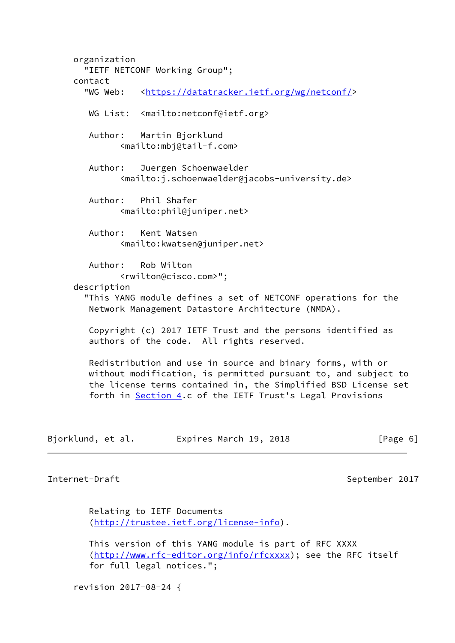organization "IETF NETCONF Working Group"; contact "WG Web: [<https://datatracker.ietf.org/wg/netconf/](https://datatracker.ietf.org/wg/netconf/)> WG List: <mailto:netconf@ietf.org> Author: Martin Bjorklund <mailto:mbj@tail-f.com> Author: Juergen Schoenwaelder <mailto:j.schoenwaelder@jacobs-university.de> Author: Phil Shafer <mailto:phil@juniper.net> Author: Kent Watsen <mailto:kwatsen@juniper.net> Author: Rob Wilton <rwilton@cisco.com>"; description "This YANG module defines a set of NETCONF operations for the Network Management Datastore Architecture (NMDA). Copyright (c) 2017 IETF Trust and the persons identified as authors of the code. All rights reserved. Redistribution and use in source and binary forms, with or without modification, is permitted pursuant to, and subject to the license terms contained in, the Simplified BSD License set forth in **Section 4.c** of the IETF Trust's Legal Provisions Bjorklund, et al. Expires March 19, 2018 [Page 6]

Internet-Draft September 2017

 Relating to IETF Documents [\(http://trustee.ietf.org/license-info](http://trustee.ietf.org/license-info)).

 This version of this YANG module is part of RFC XXXX [\(http://www.rfc-editor.org/info/rfcxxxx](http://www.rfc-editor.org/info/rfcxxxx)); see the RFC itself for full legal notices.";

revision 2017-08-24 {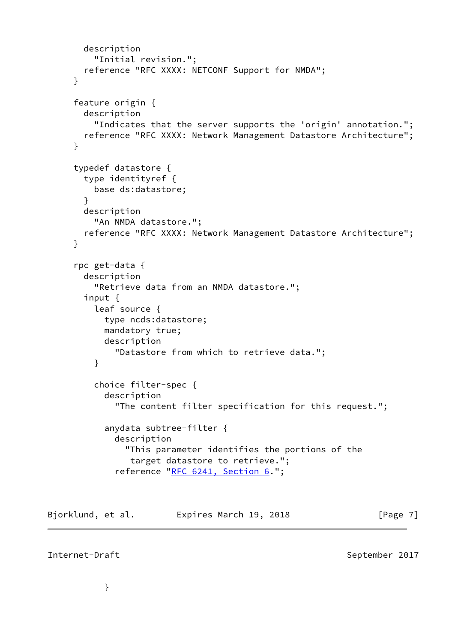```
 description
          "Initial revision.";
        reference "RFC XXXX: NETCONF Support for NMDA";
      }
      feature origin {
        description
          "Indicates that the server supports the 'origin' annotation.";
        reference "RFC XXXX: Network Management Datastore Architecture";
      }
      typedef datastore {
        type identityref {
          base ds:datastore;
        }
        description
          "An NMDA datastore.";
        reference "RFC XXXX: Network Management Datastore Architecture";
      }
      rpc get-data {
        description
          "Retrieve data from an NMDA datastore.";
        input {
          leaf source {
            type ncds:datastore;
            mandatory true;
            description
              "Datastore from which to retrieve data.";
          }
          choice filter-spec {
            description
              "The content filter specification for this request.";
            anydata subtree-filter {
              description
                "This parameter identifies the portions of the
                 target datastore to retrieve.";
             "RFC 6241, Section 6.";
Bjorklund, et al. 
Expires March 19, 2018
[Page 7]
```
# Internet-Draft September 2017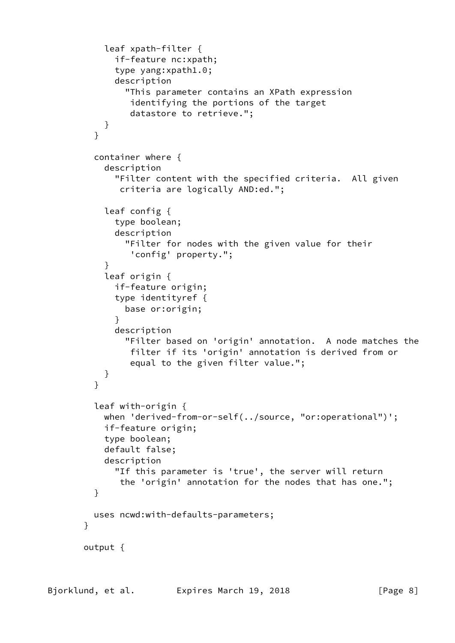```
 leaf xpath-filter {
              if-feature nc:xpath;
              type yang:xpath1.0;
              description
                "This parameter contains an XPath expression
                 identifying the portions of the target
                 datastore to retrieve.";
 }
 }
         container where {
            description
              "Filter content with the specified criteria. All given
               criteria are logically AND:ed.";
            leaf config {
              type boolean;
              description
                "Filter for nodes with the given value for their
                 'config' property.";
 }
            leaf origin {
             if-feature origin;
             type identityref {
                base or:origin;
 }
              description
                "Filter based on 'origin' annotation. A node matches the
                 filter if its 'origin' annotation is derived from or
                 equal to the given filter value.";
           }
         }
          leaf with-origin {
           when 'derived-from-or-self(../source, "or:operational")';
            if-feature origin;
           type boolean;
           default false;
            description
              "If this parameter is 'true', the server will return
               the 'origin' annotation for the nodes that has one.";
         }
         uses ncwd:with-defaults-parameters;
       }
       output {
```

```
Bjorklund, et al.         Expires March 19, 2018             [Page 8]
```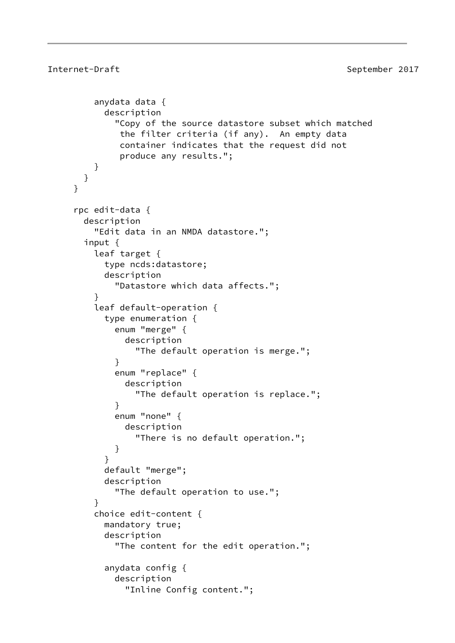```
 anydata data {
           description
             "Copy of the source datastore subset which matched
              the filter criteria (if any). An empty data
              container indicates that the request did not
              produce any results.";
         }
       }
     }
     rpc edit-data {
       description
         "Edit data in an NMDA datastore.";
       input {
         leaf target {
           type ncds:datastore;
           description
             "Datastore which data affects.";
 }
         leaf default-operation {
           type enumeration {
             enum "merge" {
               description
                  "The default operation is merge.";
 }
             enum "replace" {
               description
                  "The default operation is replace.";
 }
             enum "none" {
               description
                 "There is no default operation.";
 }
 }
           default "merge";
           description
             "The default operation to use.";
 }
         choice edit-content {
           mandatory true;
           description
             "The content for the edit operation.";
           anydata config {
             description
               "Inline Config content.";
```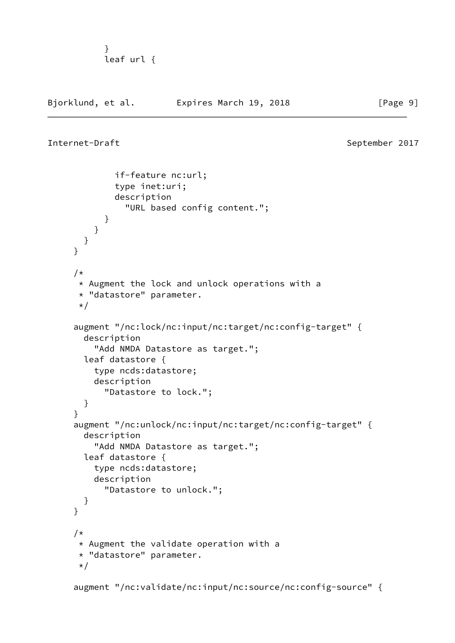```
 }
        leaf url {
```
Bjorklund, et al. **Expires March 19, 2018**[Page 9]

```
Internet-Draft September 2017
```

```
 if-feature nc:url;
              type inet:uri;
              description
                "URL based config content.";
 }
          }
        }
      }
      /*
       * Augment the lock and unlock operations with a
       * "datastore" parameter.
       */
      augment "/nc:lock/nc:input/nc:target/nc:config-target" {
        description
          "Add NMDA Datastore as target.";
        leaf datastore {
          type ncds:datastore;
          description
            "Datastore to lock.";
        }
      }
      augment "/nc:unlock/nc:input/nc:target/nc:config-target" {
        description
          "Add NMDA Datastore as target.";
        leaf datastore {
          type ncds:datastore;
          description
            "Datastore to unlock.";
        }
      }
     /*
       * Augment the validate operation with a
       * "datastore" parameter.
      \star/ augment "/nc:validate/nc:input/nc:source/nc:config-source" {
```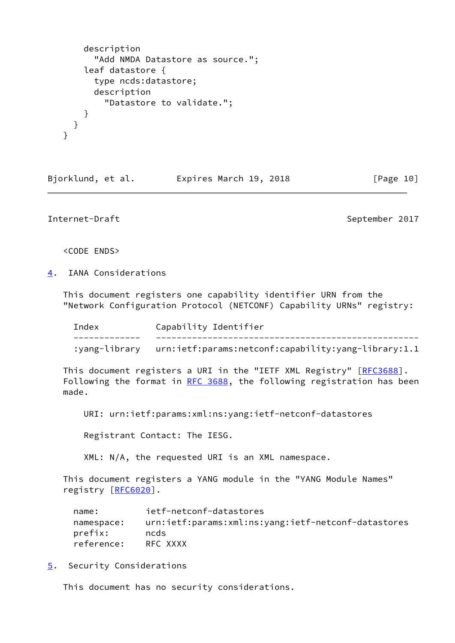```
 description
       "Add NMDA Datastore as source.";
     leaf datastore {
       type ncds:datastore;
       description
         "Datastore to validate.";
     }
  }
 }
```
Bjorklund, et al. Expires March 19, 2018 [Page 10]

<span id="page-11-1"></span>Internet-Draft September 2017

<CODE ENDS>

<span id="page-11-0"></span>[4](#page-11-0). IANA Considerations

 This document registers one capability identifier URN from the "Network Configuration Protocol (NETCONF) Capability URNs" registry:

| Index | Capability Identifier                                             |
|-------|-------------------------------------------------------------------|
|       | :yang-library urn:ietf:params:netconf:capability:yang-library:1.1 |
|       |                                                                   |

This document registers a URI in the "IETF XML Registry" [\[RFC3688](https://datatracker.ietf.org/doc/pdf/rfc3688)]. Following the format in [RFC 3688](https://datatracker.ietf.org/doc/pdf/rfc3688), the following registration has been made.

URI: urn:ietf:params:xml:ns:yang:ietf-netconf-datastores

Registrant Contact: The IESG.

XML: N/A, the requested URI is an XML namespace.

 This document registers a YANG module in the "YANG Module Names" registry [\[RFC6020](https://datatracker.ietf.org/doc/pdf/rfc6020)].

| name:      | ietf-netconf-datastores                             |
|------------|-----------------------------------------------------|
| namespace: | urn:ietf:params:xml:ns:yang:ietf-netconf-datastores |
| prefix:    | ncds                                                |
| reference: | RFC XXXX                                            |

<span id="page-11-2"></span>[5](#page-11-2). Security Considerations

This document has no security considerations.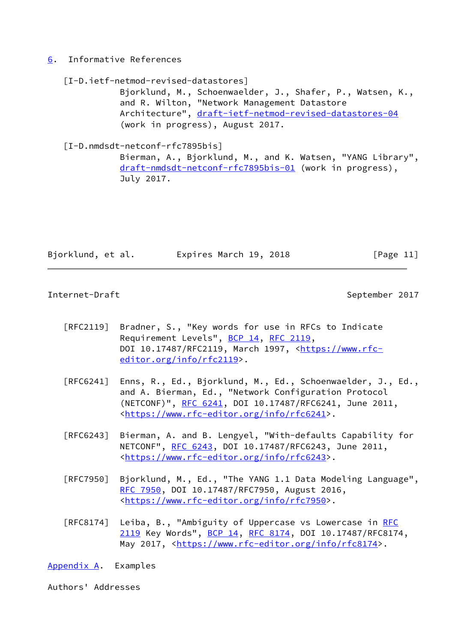### <span id="page-12-0"></span>[6](#page-12-0). Informative References

<span id="page-12-3"></span> [I-D.ietf-netmod-revised-datastores] Bjorklund, M., Schoenwaelder, J., Shafer, P., Watsen, K., and R. Wilton, "Network Management Datastore Architecture", [draft-ietf-netmod-revised-datastores-04](https://datatracker.ietf.org/doc/pdf/draft-ietf-netmod-revised-datastores-04) (work in progress), August 2017. [I-D.nmdsdt-netconf-rfc7895bis] Bierman, A., Bjorklund, M., and K. Watsen, "YANG Library", [draft-nmdsdt-netconf-rfc7895bis-01](https://datatracker.ietf.org/doc/pdf/draft-nmdsdt-netconf-rfc7895bis-01) (work in progress),

<span id="page-12-4"></span>July 2017.

Bjorklund, et al. Expires March 19, 2018 [Page 11]

<span id="page-12-2"></span>Internet-Draft September 2017

- [RFC2119] Bradner, S., "Key words for use in RFCs to Indicate Requirement Levels", [BCP 14](https://datatracker.ietf.org/doc/pdf/bcp14), [RFC 2119](https://datatracker.ietf.org/doc/pdf/rfc2119), DOI 10.17487/RFC2119, March 1997, [<https://www.rfc](https://www.rfc-editor.org/info/rfc2119) [editor.org/info/rfc2119](https://www.rfc-editor.org/info/rfc2119)>.
- [RFC6241] Enns, R., Ed., Bjorklund, M., Ed., Schoenwaelder, J., Ed., and A. Bierman, Ed., "Network Configuration Protocol (NETCONF)", [RFC 6241,](https://datatracker.ietf.org/doc/pdf/rfc6241) DOI 10.17487/RFC6241, June 2011, <[https://www.rfc-editor.org/info/rfc6241>](https://www.rfc-editor.org/info/rfc6241).
- [RFC6243] Bierman, A. and B. Lengyel, "With-defaults Capability for NETCONF", [RFC 6243](https://datatracker.ietf.org/doc/pdf/rfc6243), DOI 10.17487/RFC6243, June 2011, <[https://www.rfc-editor.org/info/rfc6243>](https://www.rfc-editor.org/info/rfc6243).
- [RFC7950] Bjorklund, M., Ed., "The YANG 1.1 Data Modeling Language", [RFC 7950,](https://datatracker.ietf.org/doc/pdf/rfc7950) DOI 10.17487/RFC7950, August 2016, <[https://www.rfc-editor.org/info/rfc7950>](https://www.rfc-editor.org/info/rfc7950).
- [RFC8174] Leiba, B., "Ambiguity of Uppercase vs Lowercase in [RFC](https://datatracker.ietf.org/doc/pdf/rfc2119) [2119](https://datatracker.ietf.org/doc/pdf/rfc2119) Key Words", [BCP 14](https://datatracker.ietf.org/doc/pdf/bcp14), [RFC 8174,](https://datatracker.ietf.org/doc/pdf/rfc8174) DOI 10.17487/RFC8174, May 2017, [<https://www.rfc-editor.org/info/rfc8174](https://www.rfc-editor.org/info/rfc8174)>.

<span id="page-12-1"></span>[Appendix A.](#page-12-1) Examples

Authors' Addresses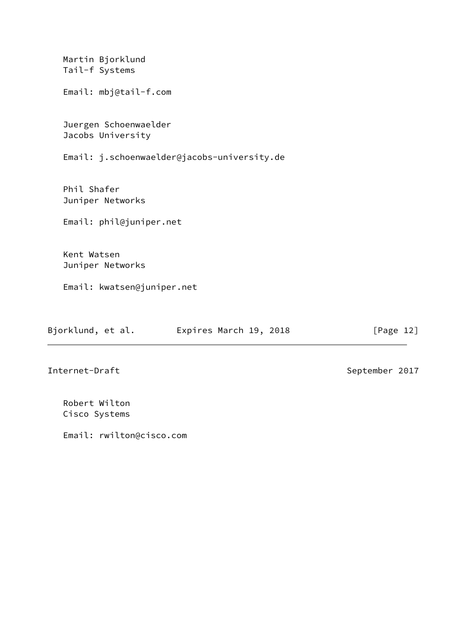| Martin Bjorklund<br>Tail-f Systems          |
|---------------------------------------------|
| Email: mbj@tail-f.com                       |
| Juergen Schoenwaelder<br>Jacobs University  |
| Email: j.schoenwaelder@jacobs-university.de |
| Phil Shafer                                 |
| Juniper Networks                            |
| Email: phil@juniper.net                     |
| Kent Watsen                                 |
| Juniper Networks                            |
| Email: kwatsen@juniper.net                  |

| Bjorklund, et al. | Expires March 19, 2018 |  |
|-------------------|------------------------|--|
|-------------------|------------------------|--|

 $[Page 12]$ 

Internet-Draft September 2017

 Robert Wilton Cisco Systems

Email: rwilton@cisco.com